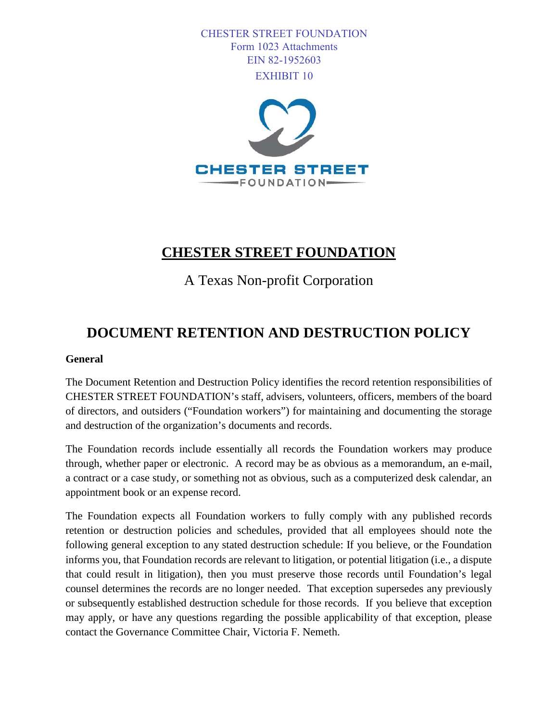CHESTER STREET FOUNDATION Form 1023 Attachments EIN 82-1952603 EXHIBIT 10



## **CHESTER STREET FOUNDATION**

A Texas Non-profit Corporation

## **DOCUMENT RETENTION AND DESTRUCTION POLICY**

## **General**

The Document Retention and Destruction Policy identifies the record retention responsibilities of CHESTER STREET FOUNDATION's staff, advisers, volunteers, officers, members of the board of directors, and outsiders ("Foundation workers") for maintaining and documenting the storage and destruction of the organization's documents and records.

The Foundation records include essentially all records the Foundation workers may produce through, whether paper or electronic. A record may be as obvious as a memorandum, an e-mail, a contract or a case study, or something not as obvious, such as a computerized desk calendar, an appointment book or an expense record.

The Foundation expects all Foundation workers to fully comply with any published records retention or destruction policies and schedules, provided that all employees should note the following general exception to any stated destruction schedule: If you believe, or the Foundation informs you, that Foundation records are relevant to litigation, or potential litigation (i.e., a dispute that could result in litigation), then you must preserve those records until Foundation's legal counsel determines the records are no longer needed. That exception supersedes any previously or subsequently established destruction schedule for those records. If you believe that exception may apply, or have any questions regarding the possible applicability of that exception, please contact the Governance Committee Chair, Victoria F. Nemeth.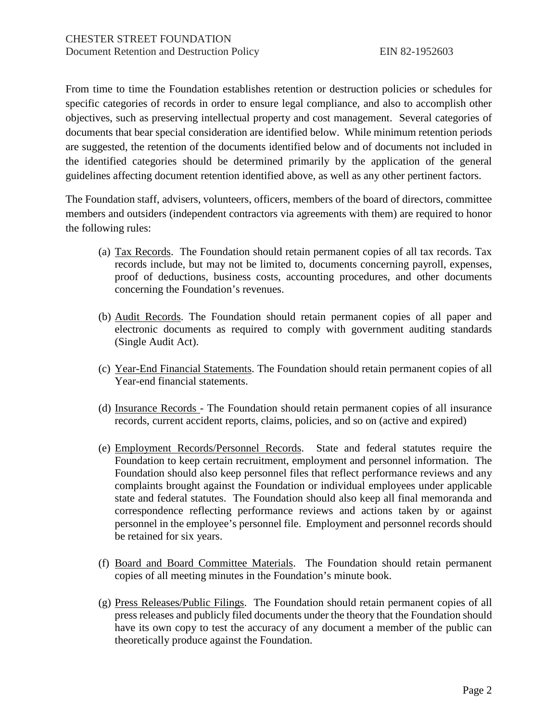From time to time the Foundation establishes retention or destruction policies or schedules for specific categories of records in order to ensure legal compliance, and also to accomplish other objectives, such as preserving intellectual property and cost management. Several categories of documents that bear special consideration are identified below. While minimum retention periods are suggested, the retention of the documents identified below and of documents not included in the identified categories should be determined primarily by the application of the general guidelines affecting document retention identified above, as well as any other pertinent factors.

The Foundation staff, advisers, volunteers, officers, members of the board of directors, committee members and outsiders (independent contractors via agreements with them) are required to honor the following rules:

- (a) Tax Records. The Foundation should retain permanent copies of all tax records. Tax records include, but may not be limited to, documents concerning payroll, expenses, proof of deductions, business costs, accounting procedures, and other documents concerning the Foundation's revenues.
- (b) Audit Records. The Foundation should retain permanent copies of all paper and electronic documents as required to comply with government auditing standards (Single Audit Act).
- (c) Year-End Financial Statements. The Foundation should retain permanent copies of all Year-end financial statements.
- (d) Insurance Records The Foundation should retain permanent copies of all insurance records, current accident reports, claims, policies, and so on (active and expired)
- (e) Employment Records/Personnel Records. State and federal statutes require the Foundation to keep certain recruitment, employment and personnel information. The Foundation should also keep personnel files that reflect performance reviews and any complaints brought against the Foundation or individual employees under applicable state and federal statutes. The Foundation should also keep all final memoranda and correspondence reflecting performance reviews and actions taken by or against personnel in the employee's personnel file. Employment and personnel records should be retained for six years.
- (f) Board and Board Committee Materials. The Foundation should retain permanent copies of all meeting minutes in the Foundation's minute book.
- (g) Press Releases/Public Filings. The Foundation should retain permanent copies of all press releases and publicly filed documents under the theory that the Foundation should have its own copy to test the accuracy of any document a member of the public can theoretically produce against the Foundation.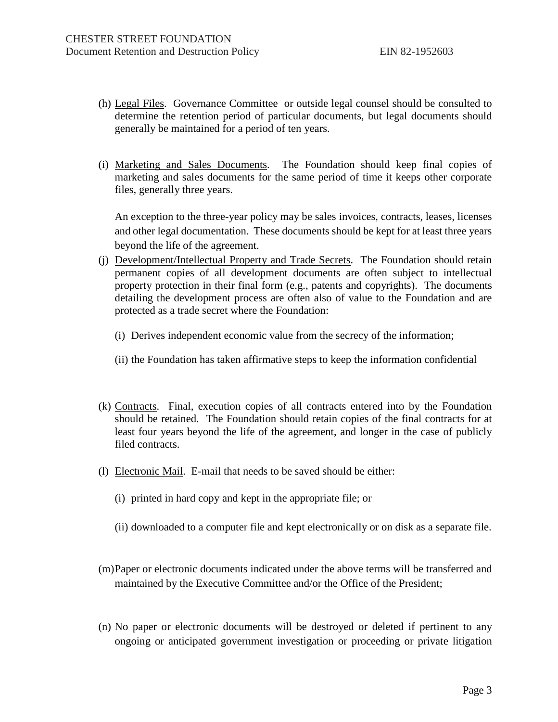- (h) Legal Files. Governance Committee or outside legal counsel should be consulted to determine the retention period of particular documents, but legal documents should generally be maintained for a period of ten years.
- (i) Marketing and Sales Documents. The Foundation should keep final copies of marketing and sales documents for the same period of time it keeps other corporate files, generally three years.

An exception to the three-year policy may be sales invoices, contracts, leases, licenses and other legal documentation. These documents should be kept for at least three years beyond the life of the agreement.

- (j) Development/Intellectual Property and Trade Secrets. The Foundation should retain permanent copies of all development documents are often subject to intellectual property protection in their final form (e.g., patents and copyrights). The documents detailing the development process are often also of value to the Foundation and are protected as a trade secret where the Foundation:
	- (i) Derives independent economic value from the secrecy of the information;
	- (ii) the Foundation has taken affirmative steps to keep the information confidential
- (k) Contracts. Final, execution copies of all contracts entered into by the Foundation should be retained. The Foundation should retain copies of the final contracts for at least four years beyond the life of the agreement, and longer in the case of publicly filed contracts.
- (l) Electronic Mail. E-mail that needs to be saved should be either:
	- (i) printed in hard copy and kept in the appropriate file; or
	- (ii) downloaded to a computer file and kept electronically or on disk as a separate file.
- (m)Paper or electronic documents indicated under the above terms will be transferred and maintained by the Executive Committee and/or the Office of the President;
- (n) No paper or electronic documents will be destroyed or deleted if pertinent to any ongoing or anticipated government investigation or proceeding or private litigation